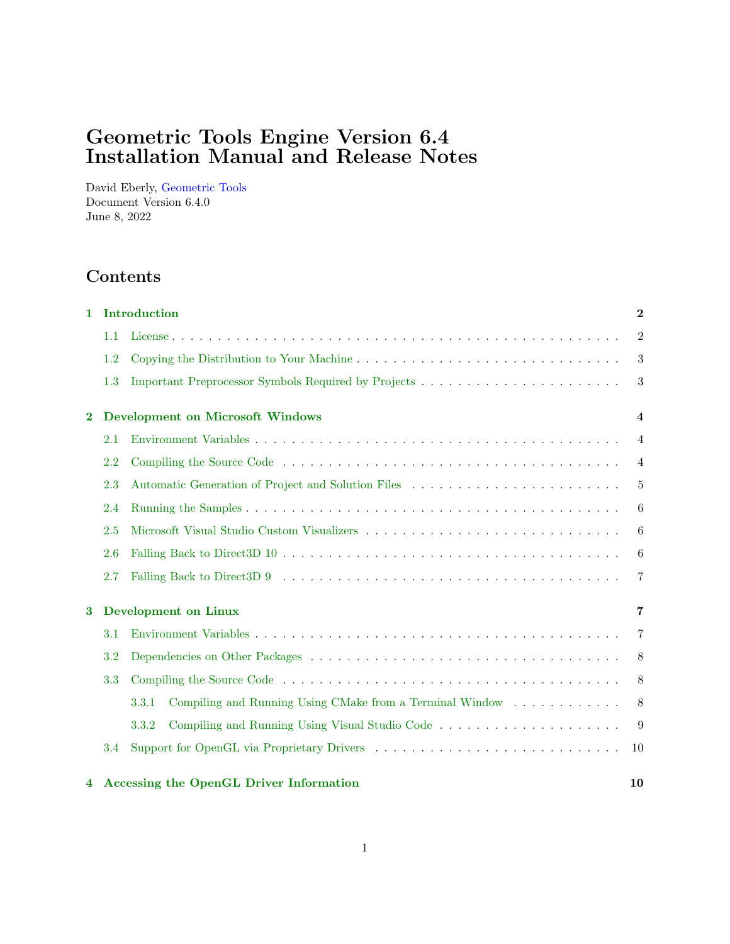# Geometric Tools Engine Version 6.4 Installation Manual and Release Notes

David Eberly, [Geometric Tools](https://www.geometrictools.com) Document Version 6.4.0 June 8, 2022

# Contents

| 1            |                                         | Introduction                                                      |                |  |  |
|--------------|-----------------------------------------|-------------------------------------------------------------------|----------------|--|--|
|              | 1.1                                     |                                                                   | $\overline{2}$ |  |  |
|              | 1.2                                     | Copying the Distribution to Your Machine                          | 3              |  |  |
|              | 1.3                                     |                                                                   | 3              |  |  |
| $\mathbf{2}$ | <b>Development on Microsoft Windows</b> |                                                                   |                |  |  |
|              | 2.1                                     |                                                                   | 4              |  |  |
|              | 2.2                                     |                                                                   | $\overline{4}$ |  |  |
|              | 2.3                                     | Automatic Generation of Project and Solution Files                | 5              |  |  |
|              | 2.4                                     |                                                                   | 6              |  |  |
|              | 2.5                                     |                                                                   | 6              |  |  |
|              | 2.6                                     |                                                                   | 6              |  |  |
|              | 2.7                                     |                                                                   | 7              |  |  |
| 3            |                                         | <b>Development</b> on Linux                                       | 7              |  |  |
|              | 3.1                                     |                                                                   | 7              |  |  |
|              | 3.2                                     |                                                                   | 8              |  |  |
|              | 3.3                                     |                                                                   | 8              |  |  |
|              |                                         | Compiling and Running Using CMake from a Terminal Window<br>3.3.1 | 8              |  |  |
|              |                                         | Compiling and Running Using Visual Studio Code<br>3.3.2           | 9              |  |  |
|              | 3.4                                     |                                                                   | 10             |  |  |
| 4            |                                         | <b>Accessing the OpenGL Driver Information</b>                    | 10             |  |  |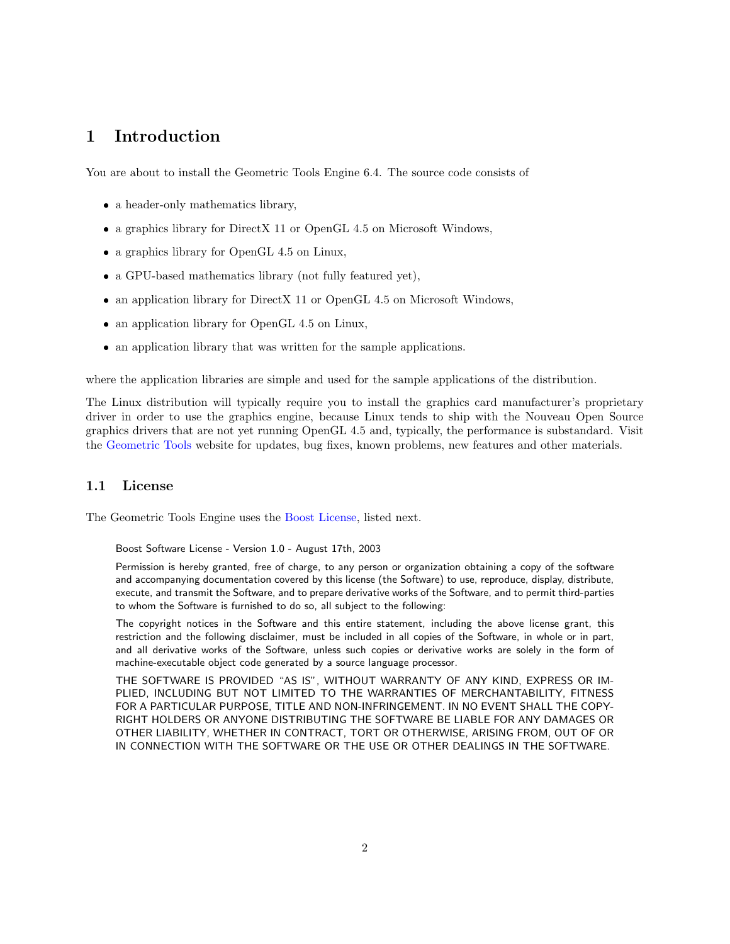# <span id="page-1-0"></span>1 Introduction

You are about to install the Geometric Tools Engine 6.4. The source code consists of

- a header-only mathematics library,
- a graphics library for DirectX 11 or OpenGL 4.5 on Microsoft Windows,
- a graphics library for OpenGL 4.5 on Linux,
- a GPU-based mathematics library (not fully featured yet),
- an application library for DirectX 11 or OpenGL 4.5 on Microsoft Windows,
- an application library for OpenGL 4.5 on Linux,
- an application library that was written for the sample applications.

where the application libraries are simple and used for the sample applications of the distribution.

The Linux distribution will typically require you to install the graphics card manufacturer's proprietary driver in order to use the graphics engine, because Linux tends to ship with the Nouveau Open Source graphics drivers that are not yet running OpenGL 4.5 and, typically, the performance is substandard. Visit the [Geometric Tools](https://www.geometrictools.com) website for updates, bug fixes, known problems, new features and other materials.

# <span id="page-1-1"></span>1.1 License

The Geometric Tools Engine uses the [Boost License,](http://www.boost.org/LICENSE_1_0.txt) listed next.

Boost Software License - Version 1.0 - August 17th, 2003

Permission is hereby granted, free of charge, to any person or organization obtaining a copy of the software and accompanying documentation covered by this license (the Software) to use, reproduce, display, distribute, execute, and transmit the Software, and to prepare derivative works of the Software, and to permit third-parties to whom the Software is furnished to do so, all subject to the following:

The copyright notices in the Software and this entire statement, including the above license grant, this restriction and the following disclaimer, must be included in all copies of the Software, in whole or in part, and all derivative works of the Software, unless such copies or derivative works are solely in the form of machine-executable object code generated by a source language processor.

THE SOFTWARE IS PROVIDED "AS IS", WITHOUT WARRANTY OF ANY KIND, EXPRESS OR IM-PLIED, INCLUDING BUT NOT LIMITED TO THE WARRANTIES OF MERCHANTABILITY, FITNESS FOR A PARTICULAR PURPOSE, TITLE AND NON-INFRINGEMENT. IN NO EVENT SHALL THE COPY-RIGHT HOLDERS OR ANYONE DISTRIBUTING THE SOFTWARE BE LIABLE FOR ANY DAMAGES OR OTHER LIABILITY, WHETHER IN CONTRACT, TORT OR OTHERWISE, ARISING FROM, OUT OF OR IN CONNECTION WITH THE SOFTWARE OR THE USE OR OTHER DEALINGS IN THE SOFTWARE.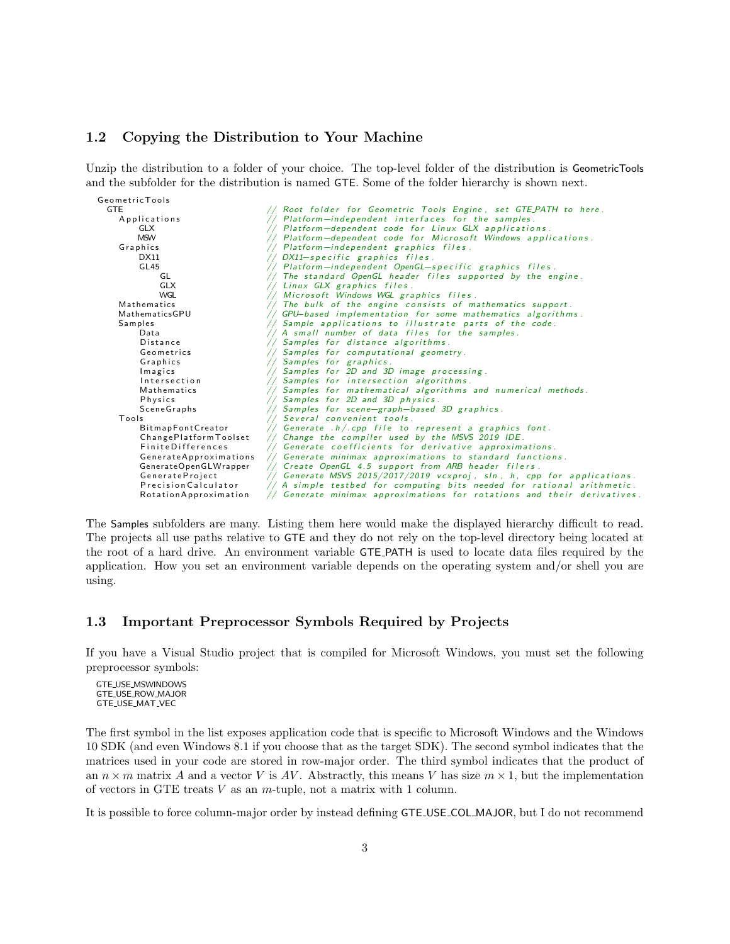### <span id="page-2-0"></span>1.2 Copying the Distribution to Your Machine

Unzip the distribution to a folder of your choice. The top-level folder of the distribution is GeometricTools and the subfolder for the distribution is named GTE. Some of the folder hierarchy is shown next.



The Samples subfolders are many. Listing them here would make the displayed hierarchy difficult to read. The projects all use paths relative to GTE and they do not rely on the top-level directory being located at the root of a hard drive. An environment variable GTE PATH is used to locate data files required by the application. How you set an environment variable depends on the operating system and/or shell you are using.

#### <span id="page-2-1"></span>1.3 Important Preprocessor Symbols Required by Projects

If you have a Visual Studio project that is compiled for Microsoft Windows, you must set the following preprocessor symbols:

GTE USE MSWINDOWS GTE USE ROW MAJOR GTE USE MAT VEC

The first symbol in the list exposes application code that is specific to Microsoft Windows and the Windows 10 SDK (and even Windows 8.1 if you choose that as the target SDK). The second symbol indicates that the matrices used in your code are stored in row-major order. The third symbol indicates that the product of an  $n \times m$  matrix A and a vector V is AV. Abstractly, this means V has size  $m \times 1$ , but the implementation of vectors in GTE treats  $V$  as an  $m$ -tuple, not a matrix with 1 column.

It is possible to force column-major order by instead defining GTE USE COL MAJOR, but I do not recommend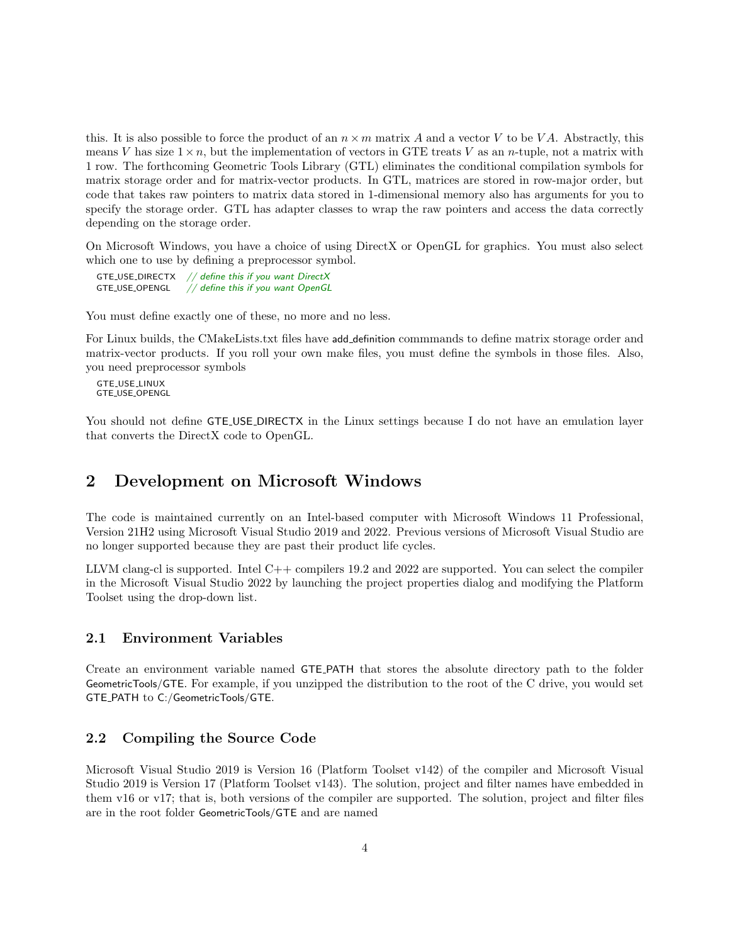this. It is also possible to force the product of an  $n \times m$  matrix A and a vector V to be VA. Abstractly, this means V has size  $1 \times n$ , but the implementation of vectors in GTE treats V as an *n*-tuple, not a matrix with 1 row. The forthcoming Geometric Tools Library (GTL) eliminates the conditional compilation symbols for matrix storage order and for matrix-vector products. In GTL, matrices are stored in row-major order, but code that takes raw pointers to matrix data stored in 1-dimensional memory also has arguments for you to specify the storage order. GTL has adapter classes to wrap the raw pointers and access the data correctly depending on the storage order.

On Microsoft Windows, you have a choice of using DirectX or OpenGL for graphics. You must also select which one to use by defining a preprocessor symbol.

GTE USE DIRECTX  $//$  define this if you want DirectX<br>GTE USE OPENGL  $//$  define this if you want OpenGL  $//$  define this if you want OpenGL

You must define exactly one of these, no more and no less.

For Linux builds, the CMakeLists.txt files have add definition commmands to define matrix storage order and matrix-vector products. If you roll your own make files, you must define the symbols in those files. Also, you need preprocessor symbols

GTE USE LINUX GTE\_USE\_OPENGL

You should not define **GTE\_USE\_DIRECTX** in the Linux settings because I do not have an emulation layer that converts the DirectX code to OpenGL.

# <span id="page-3-0"></span>2 Development on Microsoft Windows

The code is maintained currently on an Intel-based computer with Microsoft Windows 11 Professional, Version 21H2 using Microsoft Visual Studio 2019 and 2022. Previous versions of Microsoft Visual Studio are no longer supported because they are past their product life cycles.

LLVM clang-cl is supported. Intel  $C++$  compilers 19.2 and 2022 are supported. You can select the compiler in the Microsoft Visual Studio 2022 by launching the project properties dialog and modifying the Platform Toolset using the drop-down list.

#### <span id="page-3-1"></span>2.1 Environment Variables

Create an environment variable named GTE PATH that stores the absolute directory path to the folder GeometricTools/GTE. For example, if you unzipped the distribution to the root of the C drive, you would set GTE PATH to C:/GeometricTools/GTE.

#### <span id="page-3-2"></span>2.2 Compiling the Source Code

Microsoft Visual Studio 2019 is Version 16 (Platform Toolset v142) of the compiler and Microsoft Visual Studio 2019 is Version 17 (Platform Toolset v143). The solution, project and filter names have embedded in them v16 or v17; that is, both versions of the compiler are supported. The solution, project and filter files are in the root folder GeometricTools/GTE and are named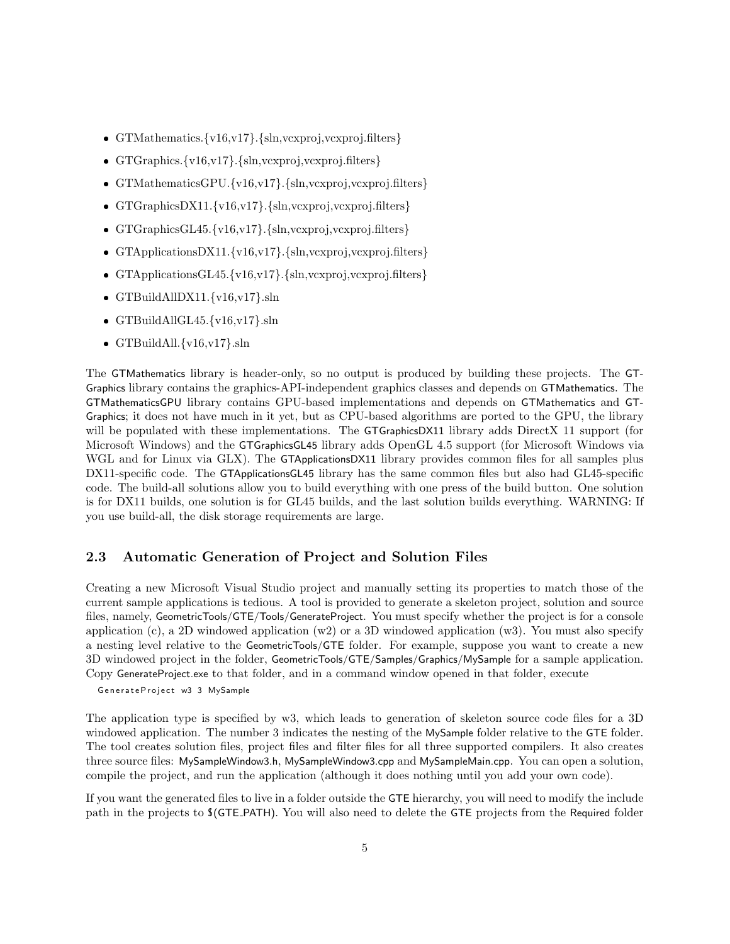- GTMathematics.{v16,v17}.{sln,vcxproj,vcxproj.filters}
- GTGraphics.{v16,v17}.{sln,vcxproj,vcxproj.filters}
- GTMathematicsGPU.{v16,v17}.{sln,vcxproj,vcxproj.filters}
- GTGraphicsDX11.{v16,v17}.{sln,vcxproj,vcxproj.filters}
- GTGraphicsGL45.{v16,v17}.{sln,vcxproj,vcxproj.filters}
- GTApplicationsDX11.{v16,v17}.{sln,vcxproj,vcxproj.filters}
- GTApplicationsGL45.{v16,v17}.{sln,vcxproj,vcxproj.filters}
- $\bullet$  GTBuildAllDX11.{v16,v17}.sln
- $\bullet$  GTBuildAllGL45.{v16,v17}.sln
- $\bullet$  GTBuildAll.{v16,v17}.sln

The GTMathematics library is header-only, so no output is produced by building these projects. The GT-Graphics library contains the graphics-API-independent graphics classes and depends on GTMathematics. The GTMathematicsGPU library contains GPU-based implementations and depends on GTMathematics and GT-Graphics; it does not have much in it yet, but as CPU-based algorithms are ported to the GPU, the library will be populated with these implementations. The GTGraphicsDX11 library adds DirectX 11 support (for Microsoft Windows) and the GTGraphicsGL45 library adds OpenGL 4.5 support (for Microsoft Windows via WGL and for Linux via GLX). The GTApplicationsDX11 library provides common files for all samples plus DX11-specific code. The GTApplicationsGL45 library has the same common files but also had GL45-specific code. The build-all solutions allow you to build everything with one press of the build button. One solution is for DX11 builds, one solution is for GL45 builds, and the last solution builds everything. WARNING: If you use build-all, the disk storage requirements are large.

# <span id="page-4-0"></span>2.3 Automatic Generation of Project and Solution Files

Creating a new Microsoft Visual Studio project and manually setting its properties to match those of the current sample applications is tedious. A tool is provided to generate a skeleton project, solution and source files, namely, GeometricTools/GTE/Tools/GenerateProject. You must specify whether the project is for a console application (c), a 2D windowed application  $(w2)$  or a 3D windowed application  $(w3)$ . You must also specify a nesting level relative to the GeometricTools/GTE folder. For example, suppose you want to create a new 3D windowed project in the folder, GeometricTools/GTE/Samples/Graphics/MySample for a sample application. Copy GenerateProject.exe to that folder, and in a command window opened in that folder, execute

GenerateProject w3 3 MySample

The application type is specified by w3, which leads to generation of skeleton source code files for a 3D windowed application. The number 3 indicates the nesting of the MySample folder relative to the GTE folder. The tool creates solution files, project files and filter files for all three supported compilers. It also creates three source files: MySampleWindow3.h, MySampleWindow3.cpp and MySampleMain.cpp. You can open a solution, compile the project, and run the application (although it does nothing until you add your own code).

If you want the generated files to live in a folder outside the GTE hierarchy, you will need to modify the include path in the projects to \$(GTE PATH). You will also need to delete the GTE projects from the Required folder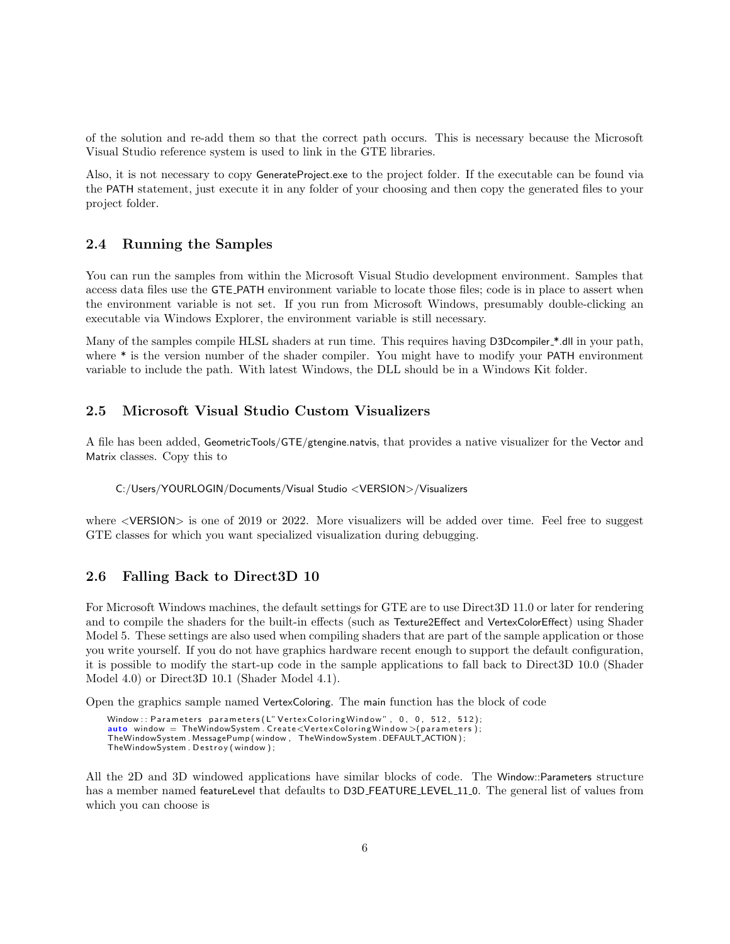of the solution and re-add them so that the correct path occurs. This is necessary because the Microsoft Visual Studio reference system is used to link in the GTE libraries.

Also, it is not necessary to copy GenerateProject.exe to the project folder. If the executable can be found via the PATH statement, just execute it in any folder of your choosing and then copy the generated files to your project folder.

### <span id="page-5-0"></span>2.4 Running the Samples

You can run the samples from within the Microsoft Visual Studio development environment. Samples that access data files use the GTE PATH environment variable to locate those files; code is in place to assert when the environment variable is not set. If you run from Microsoft Windows, presumably double-clicking an executable via Windows Explorer, the environment variable is still necessary.

Many of the samples compile HLSL shaders at run time. This requires having D3Dcompiler\_\*.dll in your path, where  $*$  is the version number of the shader compiler. You might have to modify your PATH environment variable to include the path. With latest Windows, the DLL should be in a Windows Kit folder.

#### <span id="page-5-1"></span>2.5 Microsoft Visual Studio Custom Visualizers

A file has been added, GeometricTools/GTE/gtengine.natvis, that provides a native visualizer for the Vector and Matrix classes. Copy this to

C:/Users/YOURLOGIN/Documents/Visual Studio <VERSION>/Visualizers

where  $\leq$ VERSION $>$  is one of 2019 or 2022. More visualizers will be added over time. Feel free to suggest GTE classes for which you want specialized visualization during debugging.

## <span id="page-5-2"></span>2.6 Falling Back to Direct3D 10

For Microsoft Windows machines, the default settings for GTE are to use Direct3D 11.0 or later for rendering and to compile the shaders for the built-in effects (such as Texture2Effect and VertexColorEffect) using Shader Model 5. These settings are also used when compiling shaders that are part of the sample application or those you write yourself. If you do not have graphics hardware recent enough to support the default configuration, it is possible to modify the start-up code in the sample applications to fall back to Direct3D 10.0 (Shader Model 4.0) or Direct3D 10.1 (Shader Model 4.1).

Open the graphics sample named VertexColoring. The main function has the block of code

Window : : Parameters parameters (L" Vertex Coloring Window", 0, 0, 512, 512);  $auto$  window = TheWindowSystem. Create<VertexColoringWindow>(parameters); TheWindowSystem . MessagePump ( window , TheWindowSystem . DEFAULT ACTION ) ; TheWindowSystem . Destroy (window);

All the 2D and 3D windowed applications have similar blocks of code. The Window::Parameters structure has a member named featureLevel that defaults to D3D\_FEATURE\_LEVEL\_11\_0. The general list of values from which you can choose is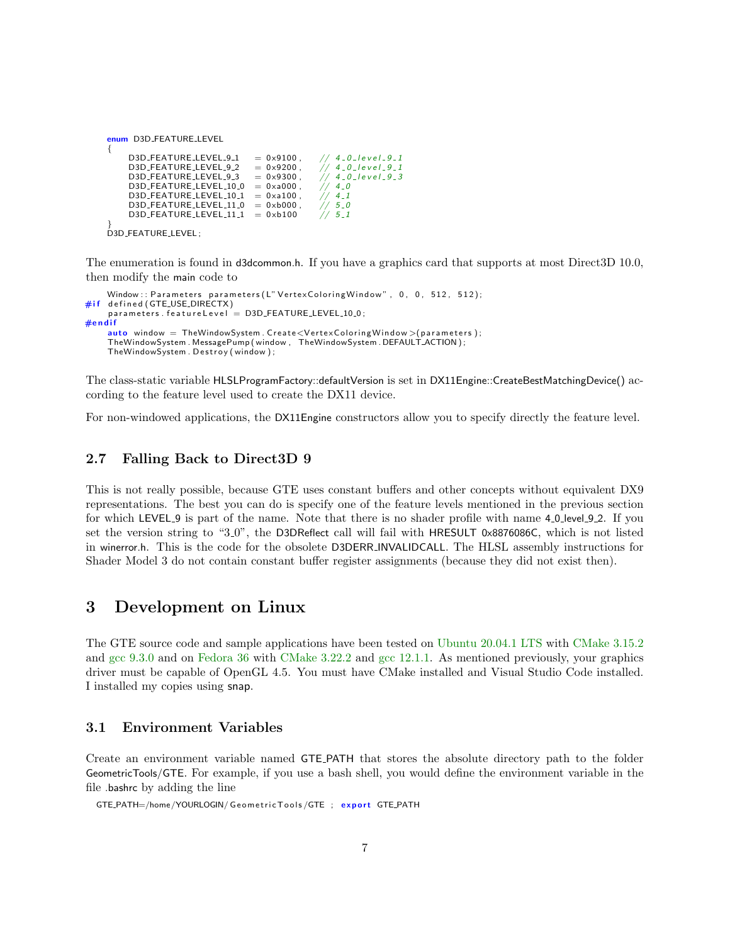| enum D3D_FEATURE_LEVEL                                                                                                                                                          |                                                                                                                                                             |                                                                                                         |  |  |  |
|---------------------------------------------------------------------------------------------------------------------------------------------------------------------------------|-------------------------------------------------------------------------------------------------------------------------------------------------------------|---------------------------------------------------------------------------------------------------------|--|--|--|
| D3D_FEATURE_LEVEL_9_1<br>D3D_FEATURE_LEVEL_9_2<br>D3D_FEATURE_LEVEL_9_3<br>D3D FEATURE LEVEL 10 0<br>D3D_FEATURE_LEVEL_10_1<br>D3D_FEATURE_LEVEL_11_0<br>D3D_FEATURE_LEVEL_11_1 | $= 0 \times 9100$ .<br>$= 0 \times 9200$ .<br>$= 0 \times 9300$ .<br>$= 0 \times a 000$ .<br>$= 0 \times 100$ .<br>$= 0 \times b000$ .<br>$= 0 \times b100$ | $// 4_0_level_9_1$<br>$4 - 0$ $ level$ $-9 - 1$<br>$// 40-level-93$<br>$4-0$<br>$4-1$<br>$5-0$<br>$5-1$ |  |  |  |
| D3D_FEATURE_LEVEL;                                                                                                                                                              |                                                                                                                                                             |                                                                                                         |  |  |  |

The enumeration is found in d3dcommon.h. If you have a graphics card that supports at most Direct3D 10.0, then modify the main code to

```
Window : : Parameters parameters (L" Vertex Coloring Window", 0, 0, 512, 512);
#if defined (GTE_USE_DIRECTX)
    parameters. featureLevel = D3D FEATURE LEVEL 10.0;
\#endif
    auto window = TheWindowSystem. Create<VertexColoringWindow>(parameters);
    TheWindowSystem . MessagePump ( window , TheWindowSystem . DEFAULT ACTION ) ;
    TheWindowSystem . Destroy (window);
```
The class-static variable HLSLProgramFactory::defaultVersion is set in DX11Engine::CreateBestMatchingDevice() according to the feature level used to create the DX11 device.

For non-windowed applications, the DX11Engine constructors allow you to specify directly the feature level.

## <span id="page-6-0"></span>2.7 Falling Back to Direct3D 9

This is not really possible, because GTE uses constant buffers and other concepts without equivalent DX9 representations. The best you can do is specify one of the feature levels mentioned in the previous section for which LEVEL 9 is part of the name. Note that there is no shader profile with name 4 0 level 9 2. If you set the version string to "3.0", the D3DReflect call will fail with HRESULT 0x8876086C, which is not listed in winerror.h. This is the code for the obsolete D3DERR INVALIDCALL. The HLSL assembly instructions for Shader Model 3 do not contain constant buffer register assignments (because they did not exist then).

# <span id="page-6-1"></span>3 Development on Linux

The GTE source code and sample applications have been tested on Ubuntu 20.04.1 LTS with CMake 3.15.2 and gcc 9.3.0 and on Fedora 36 with CMake 3.22.2 and gcc 12.1.1. As mentioned previously, your graphics driver must be capable of OpenGL 4.5. You must have CMake installed and Visual Studio Code installed. I installed my copies using snap.

#### <span id="page-6-2"></span>3.1 Environment Variables

Create an environment variable named GTE PATH that stores the absolute directory path to the folder GeometricTools/GTE. For example, if you use a bash shell, you would define the environment variable in the file .bashrc by adding the line

GTE\_PATH=/home/YOURLOGIN/ Geometric Tools/GTE ; export GTE\_PATH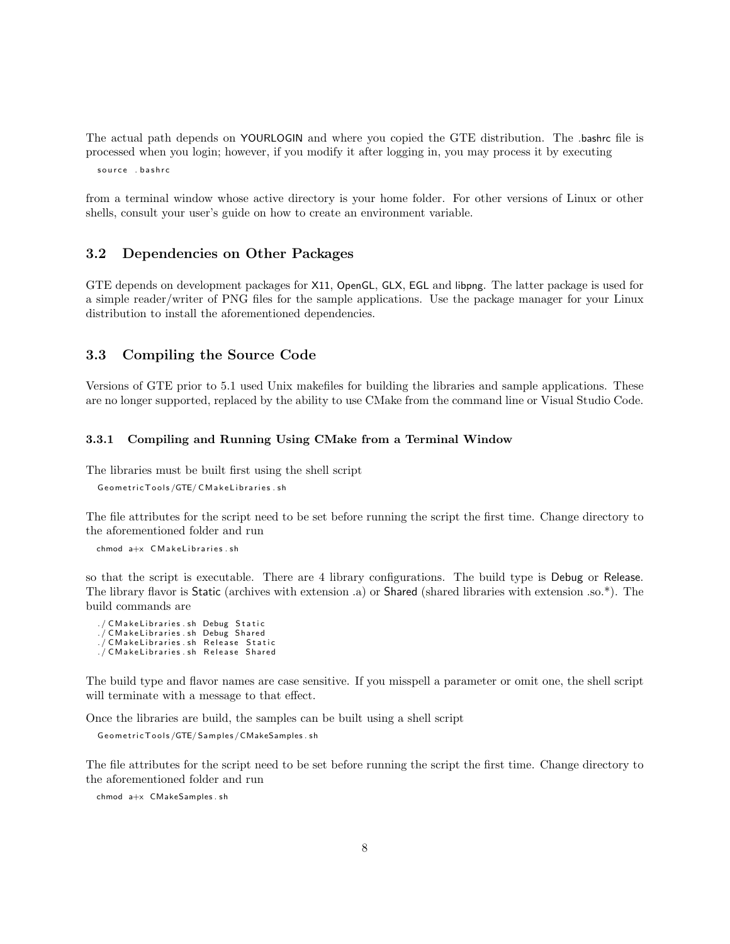The actual path depends on YOURLOGIN and where you copied the GTE distribution. The .bashrc file is processed when you login; however, if you modify it after logging in, you may process it by executing

source . bashrc

from a terminal window whose active directory is your home folder. For other versions of Linux or other shells, consult your user's guide on how to create an environment variable.

### <span id="page-7-0"></span>3.2 Dependencies on Other Packages

GTE depends on development packages for X11, OpenGL, GLX, EGL and libpng. The latter package is used for a simple reader/writer of PNG files for the sample applications. Use the package manager for your Linux distribution to install the aforementioned dependencies.

#### <span id="page-7-1"></span>3.3 Compiling the Source Code

Versions of GTE prior to 5.1 used Unix makefiles for building the libraries and sample applications. These are no longer supported, replaced by the ability to use CMake from the command line or Visual Studio Code.

#### <span id="page-7-2"></span>3.3.1 Compiling and Running Using CMake from a Terminal Window

The libraries must be built first using the shell script

```
Geometric Tools / GTE/ CM ake Libraries . sh
```
The file attributes for the script need to be set before running the script the first time. Change directory to the aforementioned folder and run

 $chmod a+x$   $CMake Libraryies sh$ 

so that the script is executable. There are 4 library configurations. The build type is Debug or Release. The library flavor is Static (archives with extension .a) or Shared (shared libraries with extension .so.\*). The build commands are

./ CM a ke Libraries . sh Debug Static ./ CMakeLibraries.sh Debug Shared  $./$  CM ake Libraries . sh Release Static ./ CM ake Libraries . sh Release Shared

The build type and flavor names are case sensitive. If you misspell a parameter or omit one, the shell script will terminate with a message to that effect.

Once the libraries are build, the samples can be built using a shell script

```
Geometric Tools / GTE/ Samples / CMakeSamples . sh
```
The file attributes for the script need to be set before running the script the first time. Change directory to the aforementioned folder and run

chmod a+x CMakeSamples . sh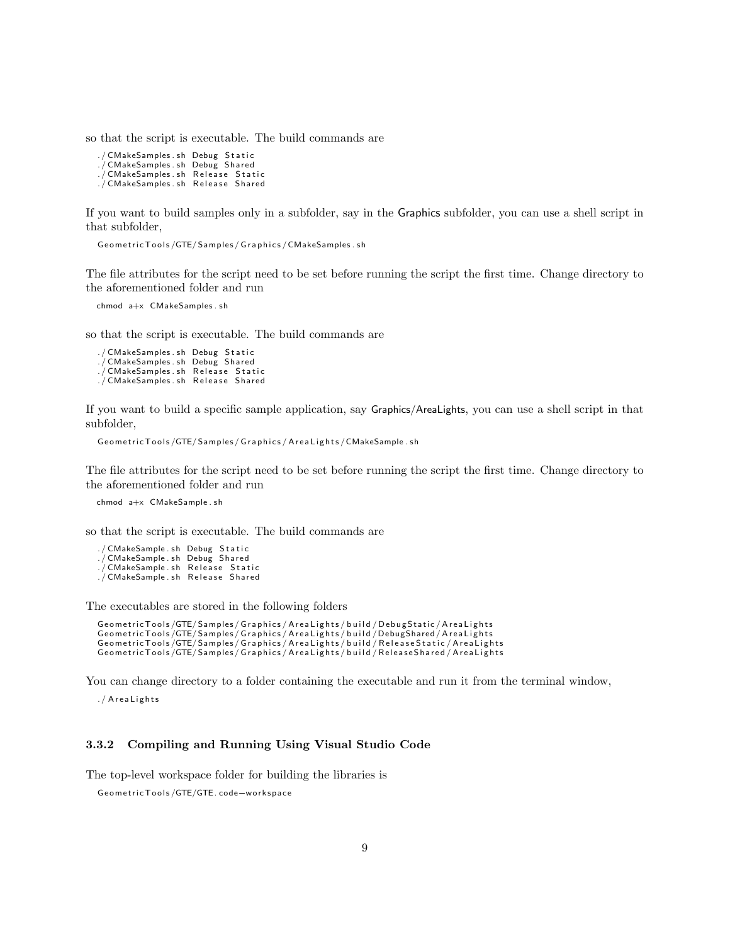so that the script is executable. The build commands are

```
./ CMakeSamples.sh Debug Static
./ CMakeSamples.sh Debug Shared
./ CMakeSamples.sh Release Static
./ CMakeSamples . sh Release Shared
```
If you want to build samples only in a subfolder, say in the Graphics subfolder, you can use a shell script in that subfolder,

Geometric Tools/GTE/Samples/Graphics/CMakeSamples.sh

The file attributes for the script need to be set before running the script the first time. Change directory to the aforementioned folder and run

```
chmod a+x CMakeSamples . sh
```
so that the script is executable. The build commands are

```
./ CMakeSamples.sh Debug Static
./ CMakeSamples . sh Debug Shared
./ CMakeSamples . sh Release Static
./ CMakeSamples . sh Release Shared
```
If you want to build a specific sample application, say Graphics/AreaLights, you can use a shell script in that subfolder,

Geometric Tools/GTE/Samples/Graphics/AreaLights/CMakeSample.sh

The file attributes for the script need to be set before running the script the first time. Change directory to the aforementioned folder and run

chmod a+x CMakeSample . sh

so that the script is executable. The build commands are

```
./ CMakeSample.sh Debug Static
./ CMakeSample.sh Debug Shared
./ CMakeSample . sh Release Static
./ CMakeSample.sh Release Shared
```
The executables are stored in the following folders

Geometric Tools/GTE/Samples/Graphics/AreaLights/build/DebugStatic/AreaLights GeometricTools/GTE/Samples/Graphics/AreaLights/build/DebugShared/AreaLights<br>GeometricTools/GTE/Samples/Graphics/AreaLights/build/ReleaseStatic/AreaLights<br>GeometricTools/GTE/Samples/Graphics/AreaLights/build/ReleaseShared/A

You can change directory to a folder containing the executable and run it from the terminal window,

./ AreaLights

#### <span id="page-8-0"></span>3.3.2 Compiling and Running Using Visual Studio Code

The top-level workspace folder for building the libraries is<br>GeometricTools/GTE/GTE.code–workspace